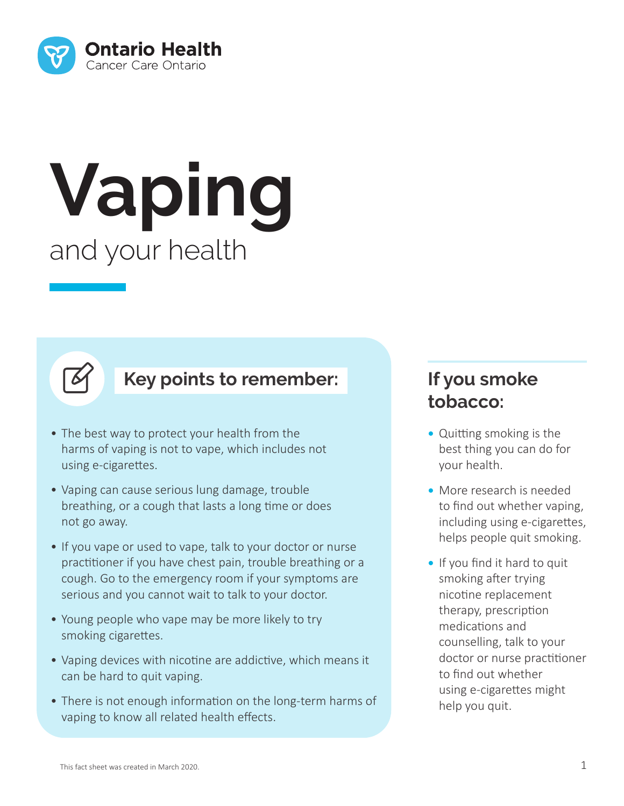

# **Vaping** and your health



#### **Key points to remember:**

- The best way to protect your health from the harms of vaping is not to vape, which includes not using e-cigarettes.
- Vaping can cause serious lung damage, trouble breathing, or a cough that lasts a long time or does not go away.
- If you vape or used to vape, talk to your doctor or nurse practitioner if you have chest pain, trouble breathing or a cough. Go to the emergency room if your symptoms are serious and you cannot wait to talk to your doctor.
- Young people who vape may be more likely to try smoking cigarettes.
- Vaping devices with nicotine are addictive, which means it can be hard to quit vaping.
- There is not enough information on the long-term harms of vaping to know all related health effects.

#### **If you smoke tobacco:**

- **•** Quitting smoking is the best thing you can do for your health.
- **•** More research is needed to find out whether vaping, including using e-cigarettes, helps people quit smoking.
- **•** If you find it hard to quit smoking after trying nicotine replacement therapy, prescription medications and counselling, talk to your doctor or nurse practitioner to find out whether using e-cigarettes might help you quit.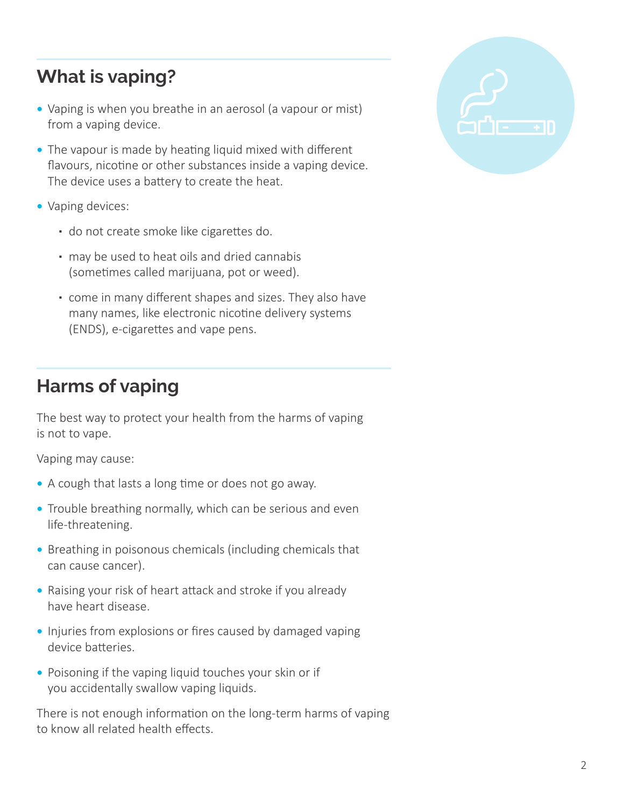## **What is vaping?**

- **•** Vaping is when you breathe in an aerosol (a vapour or mist) from a vaping device.
- **•** The vapour is made by heating liquid mixed with different flavours, nicotine or other substances inside a vaping device. The device uses a battery to create the heat.
- **•** Vaping devices:
	- do not create smoke like cigarettes do.
	- may be used to heat oils and dried cannabis (sometimes called marijuana, pot or weed).
	- come in many different shapes and sizes. They also have many names, like electronic nicotine delivery systems (ENDS), e-cigarettes and vape pens.

## **Harms of vaping**

The best way to protect your health from the harms of vaping is not to vape.

Vaping may cause:

- **•** A cough that lasts a long time or does not go away.
- **•** Trouble breathing normally, which can be serious and even life-threatening.
- **•** Breathing in poisonous chemicals (including chemicals that can cause cancer).
- **•** Raising your risk of heart attack and stroke if you already have heart disease.
- **•** Injuries from explosions or fires caused by damaged vaping device batteries.
- **•** Poisoning if the vaping liquid touches your skin or if you accidentally swallow vaping liquids.

There is not enough information on the long-term harms of vaping to know all related health effects.

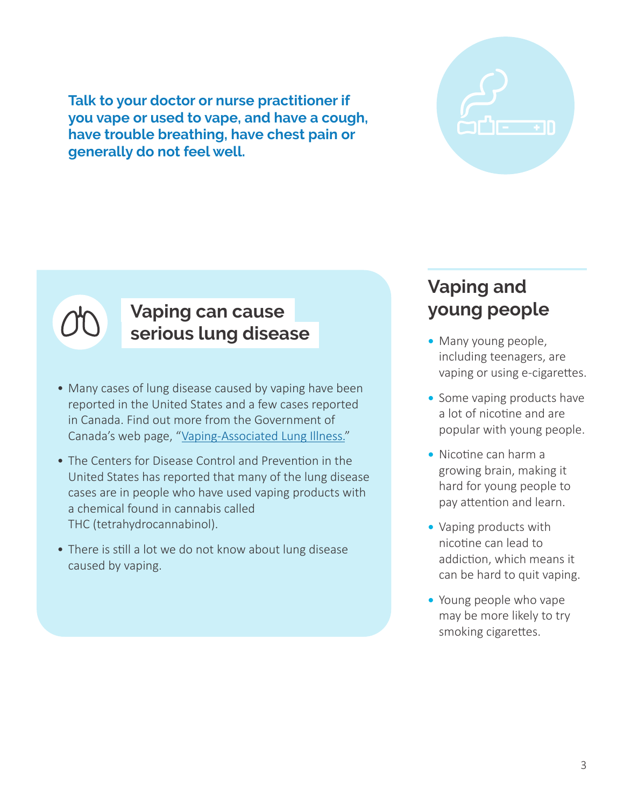**Talk to your doctor or nurse practitioner if you vape or used to vape, and have a cough, have trouble breathing, have chest pain or generally do not feel well.**



#### **Vaping can cause serious lung disease**

- Many cases of lung disease caused by vaping have been reported in the United States and a few cases reported in Canada. Find out more from the Government of Canada's web page, "Vaping-Associated Lung Illness."
- The Centers for Disease Control and Prevention in the United States has reported that many of the lung disease cases are in people who have used vaping products with a chemical found in cannabis called THC (tetrahydrocannabinol).
- There is still a lot we do not know about lung disease caused by vaping.

## **Vaping and young people**

- **•** Many young people, including teenagers, are vaping or using e-cigarettes.
- **•** Some vaping products have a lot of nicotine and are popular with young people.
- **•** Nicotine can harm a growing brain, making it hard for young people to pay attention and learn.
- **•** Vaping products with nicotine can lead to addiction, which means it can be hard to quit vaping.
- **•** Young people who vape may be more likely to try smoking cigarettes.